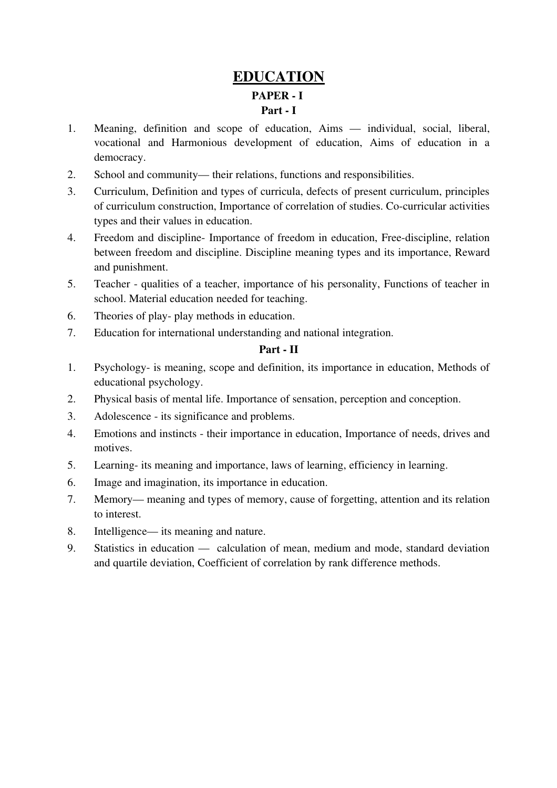## EDUCATION PAPER - I Part - I

- 1. Meaning, definition and scope of education, Aims — individual, social, liberal, vocational and Harmonious development of education, Aims of education in a democracy.
- 2. School and community— their relations, functions and responsibilities.
- 3. Curriculum, Definition and types of curricula, defects of present curriculum, principles of curriculum construction, Importance of correlation of studies. Co-curricular activities types and their values in education.
- 4. Freedom and discipline-Importance of freedom in education, Free-discipline, relation between freedom and discipline. Discipline meaning types and its importance, Reward and punishment.
- 5. Teacher qualities of a teacher, importance of his personality, Functions of teacher in school. Material education needed for teaching.
- 6. Theories of play play methods in education.
- 7. Education for international understanding and national integration.

## Part - II

- 1. Psychology- is meaning, scope and definition, its importance in education, Methods of educational psychology.
- 2. Physical basis of mental life. Importance of sensation, perception and conception.
- 3. Adolescence its significance and problems.
- 4. Emotions and instincts their importance in education, Importance of needs, drives and motives.
- 5. Learning- its meaning and importance, laws of learning, efficiency in learning.
- 6. Image and imagination, its importance in education.
- 7. Memory— meaning and types of memory, cause of forgetting, attention and its relation to interest.
- 8. Intelligence— its meaning and nature.
- 9. Statistics in education calculation of mean, medium and mode, standard deviation and quartile deviation, Coefficient of correlation by rank difference methods.